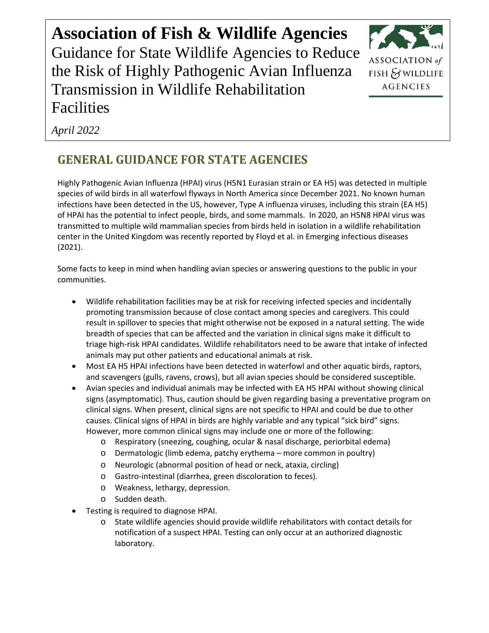**Association of Fish & Wildlife Agencies** Guidance for State Wildlife Agencies to Reduce the Risk of Highly Pathogenic Avian Influenza Transmission in Wildlife Rehabilitation Facilities



*April 2022*

# **GENERAL GUIDANCE FOR STATE AGENCIES**

Highly Pathogenic Avian Influenza (HPAI) virus (H5N1 Eurasian strain or EA H5) was detected in multiple species of wild birds in all waterfowl flyways in North America since December 2021. No known human infections have been detected in the US, however, Type A influenza viruses, including this strain (EA H5) of HPAI has the potential to infect people, birds, and some mammals. In 2020, an H5N8 HPAI virus was transmitted to multiple wild mammalian species from birds held in isolation in a wildlife rehabilitation center in the United Kingdom was recently reported by Floyd et al. in Emerging infectious diseases (2021).

Some facts to keep in mind when handling avian species or answering questions to the public in your communities.

- Wildlife rehabilitation facilities may be at risk for receiving infected species and incidentally promoting transmission because of close contact among species and caregivers. This could result in spillover to species that might otherwise not be exposed in a natural setting. The wide breadth of species that can be affected and the variation in clinical signs make it difficult to triage high-risk HPAI candidates. Wildlife rehabilitators need to be aware that intake of infected animals may put other patients and educational animals at risk.
- Most EA H5 HPAI infections have been detected in waterfowl and other aquatic birds, raptors, and scavengers (gulls, ravens, crows), but all avian species should be considered susceptible.
- Avian species and individual animals may be infected with EA H5 HPAI without showing clinical signs (asymptomatic). Thus, caution should be given regarding basing a preventative program on clinical signs. When present, clinical signs are not specific to HPAI and could be due to other causes. Clinical signs of HPAI in birds are highly variable and any typical "sick bird" signs. However, more common clinical signs may include one or more of the following:
	- o Respiratory (sneezing, coughing, ocular & nasal discharge, periorbital edema)
	- o Dermatologic (limb edema, patchy erythema more common in poultry)
	- o Neurologic (abnormal position of head or neck, ataxia, circling)
	- o Gastro-intestinal (diarrhea, green discoloration to feces).
	- o Weakness, lethargy, depression.
	- o Sudden death.
- Testing is required to diagnose HPAI.
	- o State wildlife agencies should provide wildlife rehabilitators with contact details for notification of a suspect HPAI. Testing can only occur at an authorized diagnostic laboratory.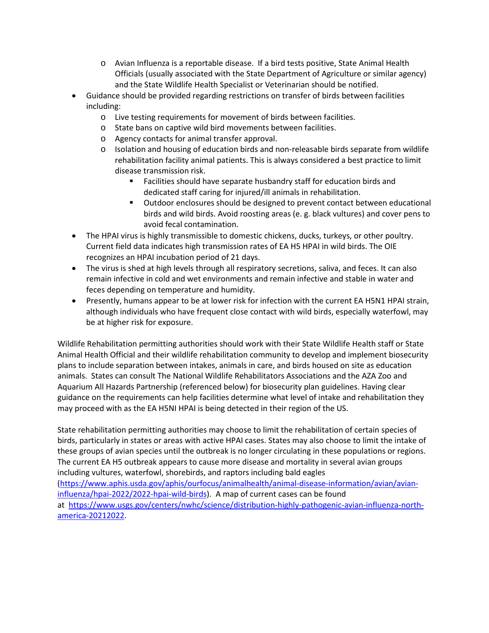- o Avian Influenza is a reportable disease. If a bird tests positive, State Animal Health Officials (usually associated with the State Department of Agriculture or similar agency) and the State Wildlife Health Specialist or Veterinarian should be notified.
- Guidance should be provided regarding restrictions on transfer of birds between facilities including:
	- o Live testing requirements for movement of birds between facilities.
	- o State bans on captive wild bird movements between facilities.
	- o Agency contacts for animal transfer approval.
	- o Isolation and housing of education birds and non-releasable birds separate from wildlife rehabilitation facility animal patients. This is always considered a best practice to limit disease transmission risk.
		- Facilities should have separate husbandry staff for education birds and dedicated staff caring for injured/ill animals in rehabilitation.
		- Outdoor enclosures should be designed to prevent contact between educational birds and wild birds. Avoid roosting areas (e. g. black vultures) and cover pens to avoid fecal contamination.
- The HPAI virus is highly transmissible to domestic chickens, ducks, turkeys, or other poultry. Current field data indicates high transmission rates of EA H5 HPAI in wild birds. The OIE recognizes an HPAI incubation period of 21 days.
- The virus is shed at high levels through all respiratory secretions, saliva, and feces. It can also remain infective in cold and wet environments and remain infective and stable in water and feces depending on temperature and humidity.
- Presently, humans appear to be at lower risk for infection with the current EA H5N1 HPAI strain, although individuals who have frequent close contact with wild birds, especially waterfowl, may be at higher risk for exposure.

Wildlife Rehabilitation permitting authorities should work with their State Wildlife Health staff or State Animal Health Official and their wildlife rehabilitation community to develop and implement biosecurity plans to include separation between intakes, animals in care, and birds housed on site as education animals. States can consult The National Wildlife Rehabilitators Associations and the AZA Zoo and Aquarium All Hazards Partnership (referenced below) for biosecurity plan guidelines. Having clear guidance on the requirements can help facilities determine what level of intake and rehabilitation they may proceed with as the EA H5NI HPAI is being detected in their region of the US.

State rehabilitation permitting authorities may choose to limit the rehabilitation of certain species of birds, particularly in states or areas with active HPAI cases. States may also choose to limit the intake of these groups of avian species until the outbreak is no longer circulating in these populations or regions. The current EA H5 outbreak appears to cause more disease and mortality in several avian groups including vultures, waterfowl, shorebirds, and raptors including bald eagles [\(https://www.aphis.usda.gov/aphis/ourfocus/animalhealth/animal-disease-information/avian/avian](https://www.aphis.usda.gov/aphis/ourfocus/animalhealth/animal-disease-information/avian/avian-influenza/hpai-2022/2022-hpai-wild-birds)[influenza/hpai-2022/2022-hpai-wild-birds\)](https://www.aphis.usda.gov/aphis/ourfocus/animalhealth/animal-disease-information/avian/avian-influenza/hpai-2022/2022-hpai-wild-birds). A map of current cases can be found at [https://www.usgs.gov/centers/nwhc/science/distribution-highly-pathogenic-avian-influenza-north](https://www.usgs.gov/centers/nwhc/science/distribution-highly-pathogenic-avian-influenza-north-america-20212022)[america-20212022.](https://www.usgs.gov/centers/nwhc/science/distribution-highly-pathogenic-avian-influenza-north-america-20212022)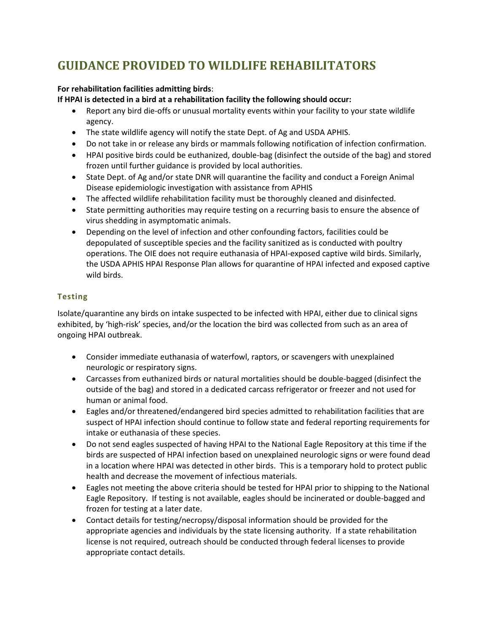## **GUIDANCE PROVIDED TO WILDLIFE REHABILITATORS**

### **For rehabilitation facilities admitting birds**:

**If HPAI is detected in a bird at a rehabilitation facility the following should occur:**

- Report any bird die-offs or unusual mortality events within your facility to your state wildlife agency.
- The state wildlife agency will notify the state Dept. of Ag and USDA APHIS.
- Do not take in or release any birds or mammals following notification of infection confirmation.
- HPAI positive birds could be euthanized, double-bag (disinfect the outside of the bag) and stored frozen until further guidance is provided by local authorities.
- State Dept. of Ag and/or state DNR will quarantine the facility and conduct a Foreign Animal Disease epidemiologic investigation with assistance from APHIS
- The affected wildlife rehabilitation facility must be thoroughly cleaned and disinfected.
- State permitting authorities may require testing on a recurring basis to ensure the absence of virus shedding in asymptomatic animals.
- Depending on the level of infection and other confounding factors, facilities could be depopulated of susceptible species and the facility sanitized as is conducted with poultry operations. The OIE does not require euthanasia of HPAI-exposed captive wild birds. Similarly, the USDA APHIS HPAI Response Plan allows for quarantine of HPAI infected and exposed captive wild birds.

## **Testing**

Isolate/quarantine any birds on intake suspected to be infected with HPAI, either due to clinical signs exhibited, by 'high-risk' species, and/or the location the bird was collected from such as an area of ongoing HPAI outbreak.

- Consider immediate euthanasia of waterfowl, raptors, or scavengers with unexplained neurologic or respiratory signs.
- Carcasses from euthanized birds or natural mortalities should be double-bagged (disinfect the outside of the bag) and stored in a dedicated carcass refrigerator or freezer and not used for human or animal food.
- Eagles and/or threatened/endangered bird species admitted to rehabilitation facilities that are suspect of HPAI infection should continue to follow state and federal reporting requirements for intake or euthanasia of these species.
- Do not send eagles suspected of having HPAI to the National Eagle Repository at this time if the birds are suspected of HPAI infection based on unexplained neurologic signs or were found dead in a location where HPAI was detected in other birds. This is a temporary hold to protect public health and decrease the movement of infectious materials.
- Eagles not meeting the above criteria should be tested for HPAI prior to shipping to the National Eagle Repository. If testing is not available, eagles should be incinerated or double-bagged and frozen for testing at a later date.
- Contact details for testing/necropsy/disposal information should be provided for the appropriate agencies and individuals by the state licensing authority. If a state rehabilitation license is not required, outreach should be conducted through federal licenses to provide appropriate contact details.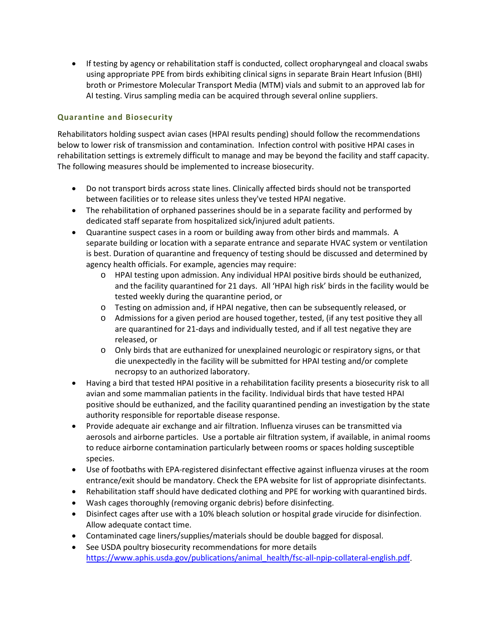• If testing by agency or rehabilitation staff is conducted, collect oropharyngeal and cloacal swabs using appropriate PPE from birds exhibiting clinical signs in separate Brain Heart Infusion (BHI) broth or Primestore Molecular Transport Media (MTM) vials and submit to an approved lab for AI testing. Virus sampling media can be acquired through several online suppliers.

### **Quarantine and Biosecurity**

Rehabilitators holding suspect avian cases (HPAI results pending) should follow the recommendations below to lower risk of transmission and contamination. Infection control with positive HPAI cases in rehabilitation settings is extremely difficult to manage and may be beyond the facility and staff capacity. The following measures should be implemented to increase biosecurity.

- Do not transport birds across state lines. Clinically affected birds should not be transported between facilities or to release sites unless they've tested HPAI negative.
- The rehabilitation of orphaned passerines should be in a separate facility and performed by dedicated staff separate from hospitalized sick/injured adult patients.
- Quarantine suspect cases in a room or building away from other birds and mammals. A separate building or location with a separate entrance and separate HVAC system or ventilation is best. Duration of quarantine and frequency of testing should be discussed and determined by agency health officials. For example, agencies may require:
	- o HPAI testing upon admission. Any individual HPAI positive birds should be euthanized, and the facility quarantined for 21 days. All 'HPAI high risk' birds in the facility would be tested weekly during the quarantine period, or
	- o Testing on admission and, if HPAI negative, then can be subsequently released, or
	- o Admissions for a given period are housed together, tested, (if any test positive they all are quarantined for 21-days and individually tested, and if all test negative they are released, or
	- o Only birds that are euthanized for unexplained neurologic or respiratory signs, or that die unexpectedly in the facility will be submitted for HPAI testing and/or complete necropsy to an authorized laboratory.
- Having a bird that tested HPAI positive in a rehabilitation facility presents a biosecurity risk to all avian and some mammalian patients in the facility. Individual birds that have tested HPAI positive should be euthanized, and the facility quarantined pending an investigation by the state authority responsible for reportable disease response.
- Provide adequate air exchange and air filtration. Influenza viruses can be transmitted via aerosols and airborne particles. Use a portable air filtration system, if available, in animal rooms to reduce airborne contamination particularly between rooms or spaces holding susceptible species.
- Use of footbaths with EPA-registered disinfectant effective against influenza viruses at the room entrance/exit should be mandatory. Check the EPA website for list of appropriate disinfectants.
- Rehabilitation staff should have dedicated clothing and PPE for working with quarantined birds.
- Wash cages thoroughly (removing organic debris) before disinfecting.
- Disinfect cages after use with a 10% bleach solution or hospital grade virucide for disinfection. Allow adequate contact time.
- Contaminated cage liners/supplies/materials should be double bagged for disposal.
- See USDA poultry biosecurity recommendations for more details [https://www.aphis.usda.gov/publications/animal\\_health/fsc-all-npip-collateral-english.pdf.](https://www.aphis.usda.gov/publications/animal_health/fsc-all-npip-collateral-english.pdf)